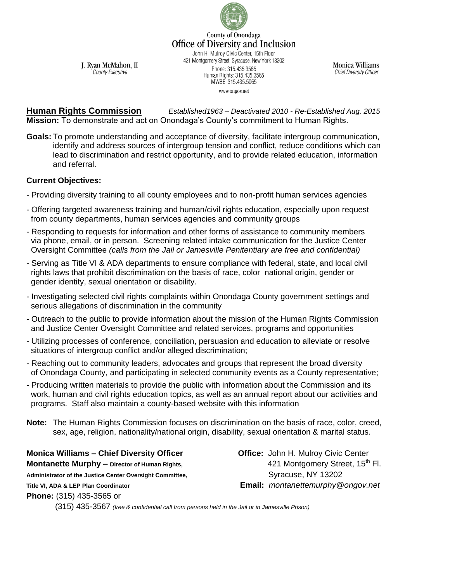

County of Onondaga **Office of Diversity and Inclusion** 

John H. Mulroy Civic Center, 15th Floor 421 Montgomery Street, Syracuse, New York 13202 Phone: 315.435.3565 Human Rights: 315.435.3565 MWBE: 315.435.5065 www.ongov.net

**Monica Williams Chief Diversity Officer** 

J. Ryan McMahon, II County Executive

**Human Rights Commission** *Established1963 – Deactivated 2010 - Re-Established Aug. 2015* **Mission:** To demonstrate and act on Onondaga's County's commitment to Human Rights.

**Goals:** To promote understanding and acceptance of diversity, facilitate intergroup communication, identify and address sources of intergroup tension and conflict, reduce conditions which can lead to discrimination and restrict opportunity, and to provide related education, information and referral.

## **Current Objectives:**

- Providing diversity training to all county employees and to non-profit human services agencies
- Offering targeted awareness training and human/civil rights education, especially upon request from county departments, human services agencies and community groups
- Responding to requests for information and other forms of assistance to community members via phone, email, or in person. Screening related intake communication for the Justice Center Oversight Committee *(calls from the Jail or Jamesville Penitentiary are free and confidential)*
- Serving as Title VI & ADA departments to ensure compliance with federal, state, and local civil rights laws that prohibit discrimination on the basis of race, color national origin, gender or gender identity, sexual orientation or disability.
- Investigating selected civil rights complaints within Onondaga County government settings and serious allegations of discrimination in the community
- Outreach to the public to provide information about the mission of the Human Rights Commission and Justice Center Oversight Committee and related services, programs and opportunities
- Utilizing processes of conference, conciliation, persuasion and education to alleviate or resolve situations of intergroup conflict and/or alleged discrimination;
- Reaching out to community leaders, advocates and groups that represent the broad diversity of Onondaga County, and participating in selected community events as a County representative;
- Producing written materials to provide the public with information about the Commission and its work, human and civil rights education topics, as well as an annual report about our activities and programs. Staff also maintain a county-based website with this information
- **Note:** The Human Rights Commission focuses on discrimination on the basis of race, color, creed, sex, age, religion, nationality/national origin, disability, sexual orientation & marital status.

**Monica Williams – Chief Diversity Officer Office:** John H. Mulroy Civic Center **Montanette Murphy –** Director of Human Rights, **Accord Accord 421 Montgomery Street**, 15<sup>th</sup> Fl. Administrator of the Justice Center Oversight Committee, **NACCO COMPOSE SALLA SALLA CONTENTS** Syracuse, NY 13202 **Title VI, ADA & LEP Plan Coordinator Email:** *montanettemurphy@ongov.net*

**Phone:** (315) 435-3565 or

(315) 435-3567 *(free & confidential call from persons held in the Jail or in Jamesville Prison)*